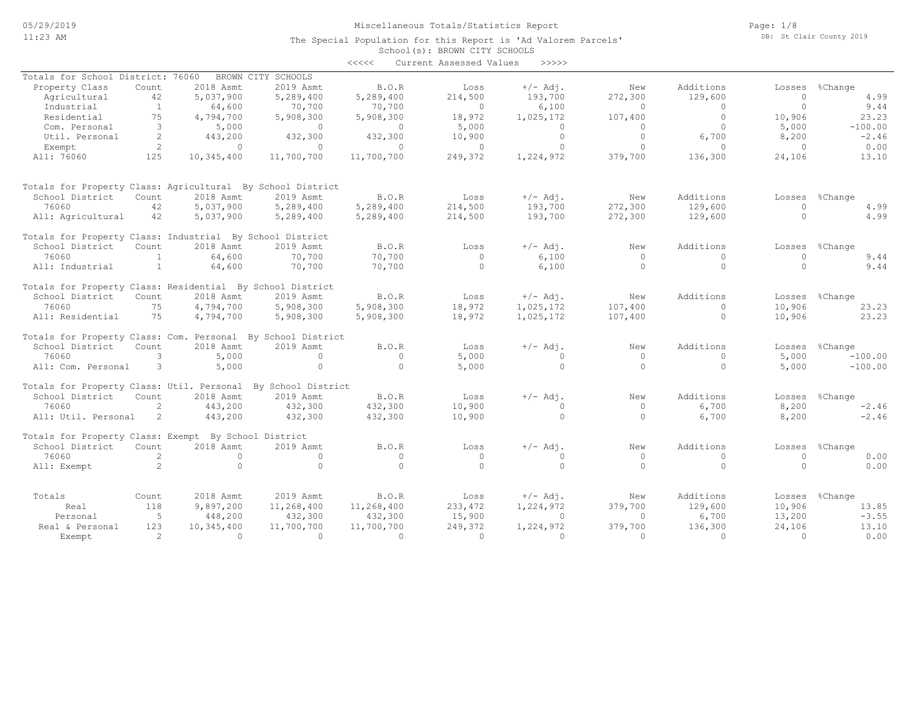School(s): BROWN CITY SCHOOLS The Special Population for this Report is 'Ad Valorem Parcels'

|                                                             |                |            |                    | $\prec\prec\prec\prec\prec$ | Current Assessed Values | >>>>>      |              |              |          |                |
|-------------------------------------------------------------|----------------|------------|--------------------|-----------------------------|-------------------------|------------|--------------|--------------|----------|----------------|
| Totals for School District: 76060                           |                |            | BROWN CITY SCHOOLS |                             |                         |            |              |              |          |                |
| Property Class                                              | Count          | 2018 Asmt  | 2019 Asmt          | B.O.R                       | Loss                    | $+/-$ Adj. | New          | Additions    | Losses   | %Change        |
| Agricultural                                                | 42             | 5,037,900  | 5,289,400          | 5,289,400                   | 214,500                 | 193,700    | 272,300      | 129,600      | $\circ$  | 4.99           |
| Industrial                                                  | 1              | 64,600     | 70,700             | 70,700                      | $\circ$                 | 6,100      | $\circ$      | $\mathbf{0}$ | $\circ$  | 9.44           |
| Residential                                                 | 75             | 4,794,700  | 5,908,300          | 5,908,300                   | 18,972                  | 1,025,172  | 107,400      | $\circ$      | 10,906   | 23.23          |
| Com. Personal                                               | 3              | 5,000      | $\circ$            | $\circ$                     | 5,000                   | $\circ$    | $\circ$      | $\circ$      | 5,000    | $-100.00$      |
|                                                             | 2              |            |                    |                             |                         | $\circ$    | $\Omega$     | 6,700        |          |                |
| Util. Personal                                              |                | 443,200    | 432,300            | 432,300                     | 10,900                  |            |              |              | 8,200    | $-2.46$        |
| Exempt                                                      | 2              | $\circ$    | $\circ$            | $\circ$                     | $\circ$                 | $\circ$    | $\circ$      | $\mathbf{0}$ | $\circ$  | 0.00           |
| All: 76060                                                  | 125            | 10,345,400 | 11,700,700         | 11,700,700                  | 249,372                 | 1,224,972  | 379,700      | 136,300      | 24,106   | 13.10          |
| Totals for Property Class: Agricultural By School District  |                |            |                    |                             |                         |            |              |              |          |                |
| School District                                             | Count          | 2018 Asmt  | 2019 Asmt          | B.O.R                       | Loss                    | $+/-$ Adj. | New          | Additions    |          | Losses %Change |
| 76060                                                       | 42             | 5,037,900  | 5,289,400          | 5,289,400                   | 214,500                 | 193,700    | 272,300      | 129,600      | $\Omega$ | 4.99           |
| All: Agricultural                                           | 42             | 5,037,900  | 5,289,400          | 5,289,400                   | 214,500                 | 193,700    | 272,300      | 129,600      | $\Omega$ | 4.99           |
|                                                             |                |            |                    |                             |                         |            |              |              |          |                |
| Totals for Property Class: Industrial By School District    |                |            |                    |                             |                         |            |              |              |          |                |
| School District                                             | Count          | 2018 Asmt  | 2019 Asmt          | B.O.R                       | Loss                    | $+/-$ Adj. | New          | Additions    |          | Losses %Change |
| 76060                                                       | $\mathbf{1}$   | 64,600     | 70,700             | 70,700                      | $\circ$                 | 6,100      | $\mathbf{0}$ | $\mathbf{0}$ | $\circ$  | 9.44           |
| All: Industrial                                             | $\mathbf{1}$   | 64,600     | 70,700             | 70,700                      | $\Omega$                | 6,100      | $\Omega$     | $\Omega$     | $\Omega$ | 9.44           |
| Totals for Property Class: Residential By School District   |                |            |                    |                             |                         |            |              |              |          |                |
| School District                                             | Count          | 2018 Asmt  | 2019 Asmt          | B.O.R                       | Loss                    | $+/-$ Adj. | New          | Additions    |          | Losses %Change |
| 76060                                                       | 75             | 4,794,700  | 5,908,300          | 5,908,300                   | 18,972                  | 1,025,172  | 107,400      | $\Omega$     | 10,906   | 23.23          |
| All: Residential                                            | 75             | 4,794,700  | 5,908,300          | 5,908,300                   | 18,972                  | 1,025,172  | 107,400      | $\circ$      | 10,906   | 23.23          |
| Totals for Property Class: Com. Personal By School District |                |            |                    |                             |                         |            |              |              |          |                |
| School District                                             | Count          | 2018 Asmt  | 2019 Asmt          | B.O.R                       | Loss                    | $+/-$ Adj. | New          | Additions    | Losses   | %Change        |
| 76060                                                       | 3              | 5,000      | $\circ$            | $\circ$                     | 5,000                   | $\Omega$   | $\circ$      | $\mathbf{0}$ | 5,000    | $-100.00$      |
| All: Com. Personal                                          | 3              | 5,000      | $\circ$            | $\circ$                     | 5,000                   | $\circ$    | $\circ$      | $\circ$      | 5,000    | $-100.00$      |
| Totals for Property Class: Util. Personal                   |                |            | By School District |                             |                         |            |              |              |          |                |
| School District                                             | Count          | 2018 Asmt  | 2019 Asmt          | B.O.R                       | Loss                    | $+/-$ Adj. | New          | Additions    | Losses   | %Change        |
| 76060                                                       | $\mathfrak{D}$ | 443,200    | 432,300            | 432,300                     | 10,900                  | $\circ$    | $\circ$      | 6,700        | 8,200    | $-2.46$        |
| All: Util. Personal                                         | 2              | 443,200    | 432,300            | 432,300                     | 10,900                  | $\circ$    | $\Omega$     | 6,700        | 8,200    | $-2.46$        |
| Totals for Property Class: Exempt By School District        |                |            |                    |                             |                         |            |              |              |          |                |
| School District                                             | Count          | 2018 Asmt  | 2019 Asmt          | B.O.R                       | Loss                    | $+/-$ Adj. | New          | Additions    | Losses   | %Change        |
| 76060                                                       | 2              | $\circ$    | $\circ$            | $\circ$                     | $\circ$                 | $\circ$    | $\circ$      | $\mathbf{0}$ | $\circ$  | 0.00           |
| All: Exempt                                                 | $\overline{2}$ | $\circ$    | $\Omega$           | $\Omega$                    | $\Omega$                | $\circ$    | $\Omega$     | $\circ$      | $\Omega$ | 0.00           |
|                                                             |                |            |                    |                             |                         |            |              |              |          |                |
| Totals                                                      | Count          | 2018 Asmt  | 2019 Asmt          | B.O.R                       | Loss                    | $+/-$ Adj. | New          | Additions    | Losses   | %Change        |
| Real                                                        | 118            | 9,897,200  | 11,268,400         | 11,268,400                  | 233, 472                | 1,224,972  | 379,700      | 129,600      | 10,906   | 13.85          |
| Personal                                                    | 5              | 448,200    | 432,300            | 432,300                     | 15,900                  | $\circ$    | $\Omega$     | 6,700        | 13,200   | $-3.55$        |
| Real & Personal                                             | 123            | 10,345,400 | 11,700,700         | 11,700,700                  | 249,372                 | 1,224,972  | 379,700      | 136,300      | 24,106   | 13.10          |
| Exempt                                                      | $\mathcal{L}$  | $\Omega$   | $\Omega$           | $\Omega$                    | $\Omega$                | $\Omega$   | $\Omega$     | $\Omega$     | $\Omega$ | 0.00           |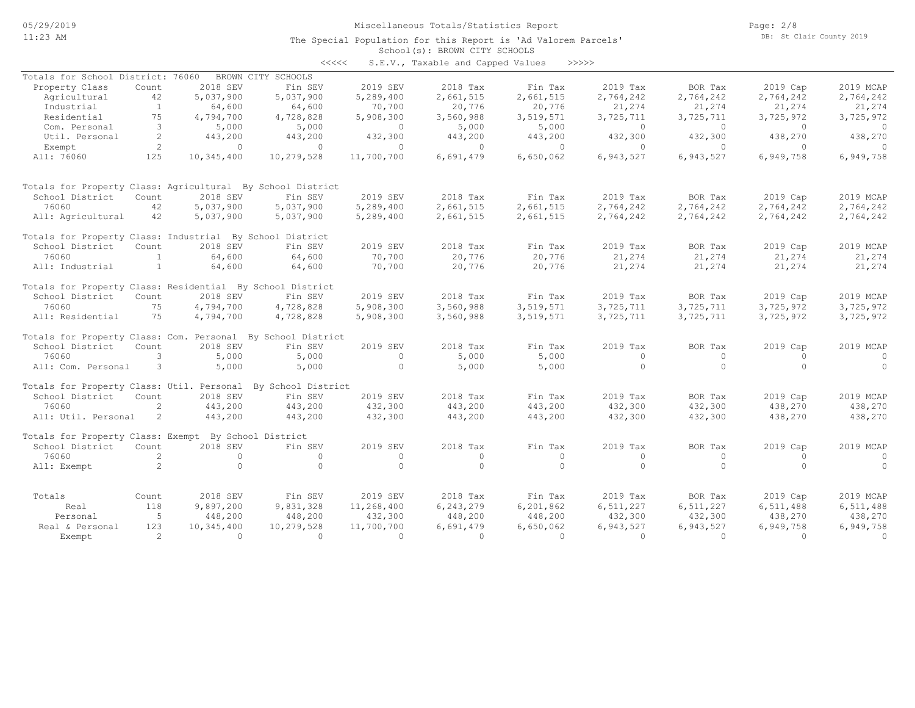The Special Population for this Report is 'Ad Valorem Parcels'

Page: 2/8 DB: St Clair County 2019

#### School(s): BROWN CITY SCHOOLS <<<<< S.E.V., Taxable and Capped Values >>>>>

|                                                             |                      |            |                    |            | D.D.V., randore and capped varies |           |                |           |            |                |
|-------------------------------------------------------------|----------------------|------------|--------------------|------------|-----------------------------------|-----------|----------------|-----------|------------|----------------|
| Totals for School District: 76060                           |                      |            | BROWN CITY SCHOOLS |            |                                   |           |                |           |            |                |
| Property Class                                              | Count                | 2018 SEV   | Fin SEV            | 2019 SEV   | 2018 Tax                          | Fin Tax   | 2019 Tax       | BOR Tax   | 2019 Cap   | 2019 MCAP      |
| Agricultural                                                | 42                   | 5,037,900  | 5,037,900          | 5,289,400  | 2,661,515                         | 2,661,515 | 2,764,242      | 2,764,242 | 2,764,242  | 2,764,242      |
| Industrial                                                  | <sup>1</sup>         | 64,600     | 64,600             | 70,700     | 20,776                            | 20,776    | 21,274         | 21,274    | 21,274     | 21,274         |
| Residential                                                 | 75                   | 4,794,700  | 4,728,828          | 5,908,300  | 3,560,988                         | 3,519,571 | 3,725,711      | 3,725,711 | 3,725,972  | 3,725,972      |
| Com. Personal                                               | 3                    | 5,000      | 5,000              | $\circ$    | 5,000                             | 5,000     | $\overline{0}$ | $\circ$   | $\bigcirc$ | $\overline{0}$ |
| Util. Personal                                              | 2                    | 443,200    | 443,200            | 432,300    | 443,200                           | 443,200   | 432,300        | 432,300   | 438,270    | 438,270        |
| Exempt                                                      | 2                    | $\circ$    | $\Omega$           | $\circ$    | $\circ$                           | $\circ$   | $\mathbf{0}$   | $\circ$   | $\circ$    | $\Omega$       |
| All: 76060                                                  | 125                  | 10,345,400 | 10,279,528         | 11,700,700 | 6,691,479                         | 6,650,062 | 6,943,527      | 6,943,527 | 6,949,758  | 6,949,758      |
| Totals for Property Class: Agricultural By School District  |                      |            |                    |            |                                   |           |                |           |            |                |
| School District                                             | Count                | 2018 SEV   | Fin SEV            | 2019 SEV   | 2018 Tax                          | Fin Tax   | 2019 Tax       | BOR Tax   | 2019 Cap   | 2019 MCAP      |
| 76060                                                       | 42                   | 5,037,900  | 5,037,900          | 5,289,400  | 2,661,515                         | 2,661,515 | 2,764,242      | 2,764,242 | 2,764,242  | 2,764,242      |
| All: Agricultural                                           | 42                   | 5,037,900  | 5,037,900          | 5,289,400  | 2,661,515                         | 2,661,515 | 2,764,242      | 2,764,242 | 2,764,242  | 2,764,242      |
| Totals for Property Class: Industrial By School District    |                      |            |                    |            |                                   |           |                |           |            |                |
| School District                                             | Count                | 2018 SEV   | Fin SEV            | 2019 SEV   | 2018 Tax                          | Fin Tax   | 2019 Tax       | BOR Tax   | 2019 Cap   | 2019 MCAP      |
| 76060                                                       | 1                    | 64,600     | 64,600             | 70,700     | 20,776                            | 20,776    | 21,274         | 21,274    | 21,274     | 21,274         |
| All: Industrial                                             | $\mathbf{1}$         | 64,600     | 64,600             | 70,700     | 20,776                            | 20,776    | 21,274         | 21,274    | 21,274     | 21,274         |
| Totals for Property Class: Residential By School District   |                      |            |                    |            |                                   |           |                |           |            |                |
| School District                                             | Count                | 2018 SEV   | Fin SEV            | 2019 SEV   | 2018 Tax                          | Fin Tax   | 2019 Tax       | BOR Tax   | 2019 Cap   | 2019 MCAP      |
| 76060                                                       | 75                   | 4,794,700  | 4,728,828          | 5,908,300  | 3,560,988                         | 3,519,571 | 3,725,711      | 3,725,711 | 3,725,972  | 3,725,972      |
| All: Residential                                            | 75                   | 4,794,700  | 4,728,828          | 5,908,300  | 3,560,988                         | 3,519,571 | 3,725,711      | 3,725,711 | 3,725,972  | 3,725,972      |
| Totals for Property Class: Com. Personal By School District |                      |            |                    |            |                                   |           |                |           |            |                |
| School District                                             | Count                | 2018 SEV   | Fin SEV            | 2019 SEV   | 2018 Tax                          | Fin Tax   | 2019 Tax       | BOR Tax   | 2019 Cap   | 2019 MCAP      |
| 76060                                                       | 3                    | 5,000      | 5,000              | $\Omega$   | 5,000                             | 5,000     | $\circ$        | $\circ$   | $\Omega$   | $\circ$        |
| All: Com. Personal                                          | 3                    | 5,000      | 5,000              | $\circ$    | 5,000                             | 5,000     | $\Omega$       | $\Omega$  | $\Omega$   | $\Omega$       |
| Totals for Property Class: Util. Personal                   |                      |            | By School District |            |                                   |           |                |           |            |                |
| School District                                             | Count                | 2018 SEV   | Fin SEV            | 2019 SEV   | 2018 Tax                          | Fin Tax   | 2019 Tax       | BOR Tax   | 2019 Cap   | 2019 MCAP      |
| 76060                                                       | $\mathbf{2}^{\circ}$ | 443,200    | 443,200            | 432,300    | 443,200                           | 443,200   | 432,300        | 432,300   | 438,270    | 438,270        |
| All: Util. Personal                                         | -2                   | 443,200    | 443,200            | 432,300    | 443,200                           | 443,200   | 432,300        | 432,300   | 438,270    | 438,270        |
| Totals for Property Class: Exempt By School District        |                      |            |                    |            |                                   |           |                |           |            |                |
| School District                                             | Count                | 2018 SEV   | Fin SEV            | 2019 SEV   | 2018 Tax                          | Fin Tax   | 2019 Tax       | BOR Tax   | 2019 Cap   | 2019 MCAP      |
| 76060                                                       | $\overline{2}$       | $\Omega$   | $\Omega$           | $\circ$    | $\Omega$                          | $\circ$   | $\Omega$       | $\circ$   | $\Omega$   | $\circ$        |
| All: Exempt                                                 | 2                    | $\Omega$   | $\Omega$           | $\Omega$   | $\Omega$                          | $\Omega$  | $\Omega$       | $\Omega$  | $\cap$     | $\Omega$       |
| Totals                                                      |                      | 2018 SEV   | Fin SEV            | 2019 SEV   | 2018 Tax                          | Fin Tax   | 2019 Tax       | BOR Tax   | 2019 Cap   | 2019 MCAP      |
|                                                             | Count                |            |                    |            |                                   |           |                |           |            |                |
| Real                                                        | 118                  | 9,897,200  | 9,831,328          | 11,268,400 | 6,243,279                         | 6,201,862 | 6,511,227      | 6,511,227 | 6,511,488  | 6,511,488      |
| Personal                                                    | -5                   | 448,200    | 448,200            | 432,300    | 448,200                           | 448,200   | 432,300        | 432,300   | 438,270    | 438,270        |
| Real & Personal                                             | 123                  | 10,345,400 | 10,279,528         | 11,700,700 | 6,691,479                         | 6,650,062 | 6,943,527      | 6,943,527 | 6,949,758  | 6,949,758      |
| Exempt                                                      | $\mathcal{L}$        | $\Omega$   | $\Omega$           | $\Omega$   | $\cap$                            | $\Omega$  | $\Omega$       | $\Omega$  | $\cap$     | $\Omega$       |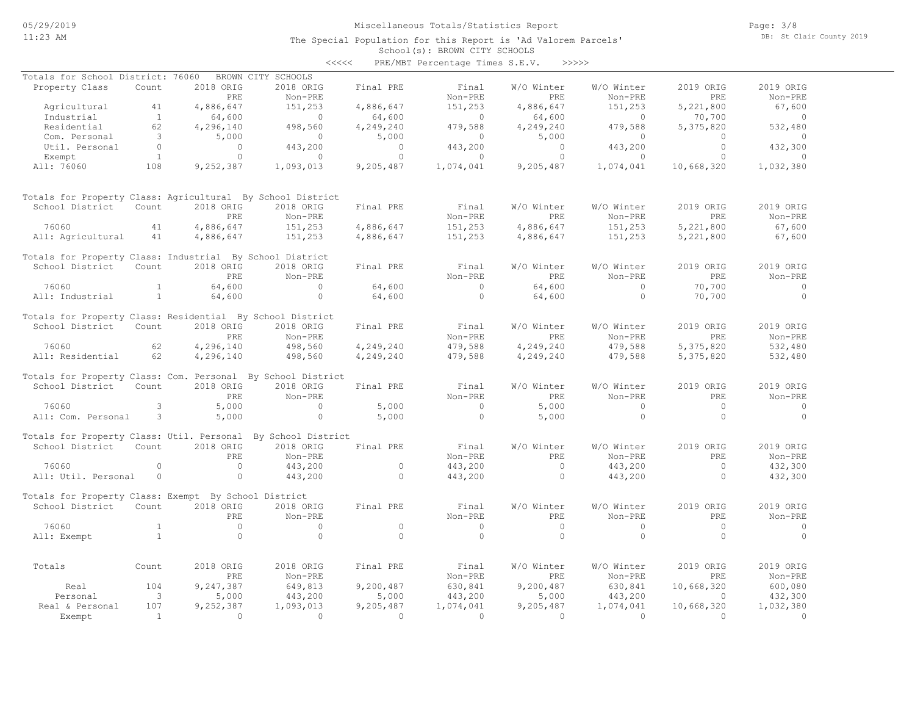The Special Population for this Report is 'Ad Valorem Parcels'

Page: 3/8 DB: St Clair County 2019

#### School(s): BROWN CITY SCHOOLS <<<<< PRE/MBT Percentage Times S.E.V. >>>>>

| Totals for School District: 76060                            |                         |                | BROWN CITY SCHOOLS |            |                |                |                |            |                |
|--------------------------------------------------------------|-------------------------|----------------|--------------------|------------|----------------|----------------|----------------|------------|----------------|
| Property Class                                               | Count                   | 2018 ORIG      | 2018 ORIG          | Final PRE  | Final          | W/O Winter     | W/O Winter     | 2019 ORIG  | 2019 ORIG      |
|                                                              |                         | PRE            | Non-PRE            |            | Non-PRE        | PRE            | Non-PRE        | PRE        | Non-PRE        |
| Agricultural                                                 | 41                      | 4,886,647      | 151,253            | 4,886,647  | 151,253        | 4,886,647      | 151,253        | 5,221,800  | 67,600         |
| Industrial                                                   | $\mathbf{1}$            | 64,600         | $\sim$ 0           | 64,600     | $\sim$ 0       | 64,600         | $\overline{0}$ | 70,700     | $\overline{0}$ |
| Residential                                                  | 62                      | 4,296,140      | 498,560            | 4,249,240  | 479,588        | 4,249,240      | 479,588        | 5,375,820  | 532,480        |
| Com. Personal                                                | $\overline{\mathbf{3}}$ | 5,000          | $\sim$ 0           | 5,000      | $\circ$        | 5,000          | $\circ$        | $\Omega$   | $\Omega$       |
| Util. Personal                                               | $\overline{0}$          | $\overline{0}$ | 443,200            | $\bigcirc$ | 443,200        | $\overline{0}$ | 443,200        | $\Omega$   | 432,300        |
| Exempt                                                       | $\overline{1}$          | $\circ$        | $\overline{0}$     | $\circ$    | $\overline{0}$ | $\circ$        | $\overline{0}$ | $\circ$    | $\Omega$       |
| All: 76060                                                   | 108                     | 9,252,387      | 1,093,013          | 9,205,487  | 1,074,041      | 9,205,487      | 1,074,041      | 10,668,320 | 1,032,380      |
|                                                              |                         |                |                    |            |                |                |                |            |                |
| Totals for Property Class: Agricultural By School District   |                         |                |                    |            |                |                |                |            |                |
| School District                                              | Count                   | 2018 ORIG      | 2018 ORIG          | Final PRE  | Final          | W/O Winter     | W/O Winter     | 2019 ORIG  | 2019 ORIG      |
|                                                              |                         | PRE            | Non-PRE            |            | Non-PRE        | PRE            | Non-PRE        | PRE        | Non-PRE        |
| 76060                                                        | 41                      | 4,886,647      | 151,253            | 4,886,647  | 151,253        | 4,886,647      | 151,253        | 5,221,800  | 67,600         |
| All: Agricultural                                            | 41                      | 4,886,647      | 151,253            | 4,886,647  | 151,253        | 4,886,647      | 151,253        | 5,221,800  | 67,600         |
|                                                              |                         |                |                    |            |                |                |                |            |                |
| Totals for Property Class: Industrial By School District     |                         |                |                    |            |                |                |                |            |                |
| School District                                              | Count                   | 2018 ORIG      | 2018 ORIG          | Final PRE  | Final          | W/O Winter     | W/O Winter     | 2019 ORIG  | 2019 ORIG      |
|                                                              |                         | <b>PRE</b>     | Non-PRE            |            | Non-PRE        | PRE            | Non-PRE        | <b>PRE</b> | Non-PRE        |
| 76060                                                        | $\mathbf{1}$            | 64,600         | $\Omega$           | 64,600     | $\bigcirc$     | 64,600         | $\Omega$       | 70,700     | $\Omega$       |
| All: Industrial                                              | <sup>1</sup>            | 64,600         | $\Omega$           | 64,600     | $\Omega$       | 64,600         | $\Omega$       | 70,700     | $\Omega$       |
|                                                              |                         |                |                    |            |                |                |                |            |                |
| Totals for Property Class: Residential By School District    |                         |                |                    |            |                |                |                |            |                |
| School District                                              | Count                   | 2018 ORIG      | 2018 ORIG          | Final PRE  | Final          | W/O Winter     | W/O Winter     | 2019 ORIG  | 2019 ORIG      |
|                                                              |                         | PRE            | Non-PRE            |            | Non-PRE        | PRE            | Non-PRE        | <b>PRE</b> | Non-PRE        |
| 76060                                                        | 62                      | 4,296,140      | 498,560            | 4,249,240  | 479,588        | 4,249,240      | 479,588        | 5,375,820  | 532,480        |
| All: Residential                                             | 62                      | 4,296,140      | 498,560            | 4,249,240  | 479,588        | 4,249,240      | 479,588        | 5,375,820  | 532,480        |
| Totals for Property Class: Com. Personal By School District  |                         |                |                    |            |                |                |                |            |                |
| School District                                              | Count                   | 2018 ORIG      | 2018 ORIG          | Final PRE  | Final          | W/O Winter     | W/O Winter     | 2019 ORIG  | 2019 ORIG      |
|                                                              |                         | PRE            | Non-PRE            |            | Non-PRE        | PRE            | Non-PRE        | PRE        | Non-PRE        |
| 76060                                                        | 3                       |                | $\Omega$           |            | $\overline{0}$ |                | $\Omega$       | $\Omega$   | $\Omega$       |
|                                                              |                         | 5,000          |                    | 5,000      |                | 5,000          |                |            |                |
| All: Com. Personal                                           | $\mathbf{3}$            | 5,000          | $\Omega$           | 5,000      | $\Omega$       | 5,000          | $\Omega$       | $\cap$     | $\Omega$       |
| Totals for Property Class: Util. Personal By School District |                         |                |                    |            |                |                |                |            |                |
| School District                                              | Count                   | 2018 ORIG      | 2018 ORIG          | Final PRE  | Final          | W/O Winter     | W/O Winter     | 2019 ORIG  | 2019 ORIG      |
|                                                              |                         | PRF.           | Non-PRE            |            | Non-PRE        | PRF.           | Non-PRE        | PRF.       | Non-PRE        |
| 76060                                                        | $\circ$                 | $\circ$        | 443,200            | $\circ$    | 443,200        | $\circ$        | 443,200        | $\circ$    | 432,300        |
| All: Util. Personal                                          | $\circ$                 | $\circ$        | 443,200            | $\circ$    | 443,200        | $\circ$        | 443,200        | $\circ$    | 432,300        |
|                                                              |                         |                |                    |            |                |                |                |            |                |
| Totals for Property Class: Exempt By School District         |                         |                |                    |            |                |                |                |            |                |
| School District                                              | Count                   | 2018 ORIG      | 2018 ORIG          | Final PRE  | Final          | W/O Winter     | W/O Winter     | 2019 ORIG  | 2019 ORIG      |
|                                                              |                         | PRE            | Non-PRE            |            | Non-PRE        | PRE            | Non-PRE        | <b>PRE</b> | Non-PRE        |
| 76060                                                        | $\overline{1}$          | $\Omega$       | $\Omega$           | $\circ$    | $\overline{0}$ | $\circ$        | $\Omega$       | $\Omega$   | $\Omega$       |
| All: Exempt                                                  | $\mathbf{1}$            | $\Omega$       | $\Omega$           | $\Omega$   | $\Omega$       | $\Omega$       | $\Omega$       | $\Omega$   | $\Omega$       |
|                                                              |                         |                |                    |            |                |                |                |            |                |
| Totals                                                       | Count                   | 2018 ORIG      | 2018 ORIG          | Final PRE  | Final          | W/O Winter     | W/O Winter     | 2019 ORIG  | 2019 ORIG      |
|                                                              |                         | <b>PRE</b>     | Non-PRE            |            | Non-PRE        | <b>PRE</b>     | Non-PRE        | <b>PRE</b> | Non-PRE        |
|                                                              | 104                     | 9,247,387      |                    |            |                |                |                |            |                |
| Real                                                         |                         |                | 649,813            | 9,200,487  | 630,841        | 9,200,487      | 630,841        | 10,668,320 | 600,080        |
| Personal                                                     | $\overline{\mathbf{3}}$ | 5,000          | 443,200            | 5,000      | 443,200        | 5,000          | 443,200        | $\Omega$   | 432,300        |
| Real & Personal                                              | 107                     | 9,252,387      | 1,093,013          | 9,205,487  | 1,074,041      | 9,205,487      | 1,074,041      | 10,668,320 | 1,032,380      |
| Exempt                                                       | $\overline{1}$          | $\Omega$       | $\Omega$           | $\Omega$   | $\Omega$       | $\Omega$       | $\Omega$       | $\Omega$   | $\Omega$       |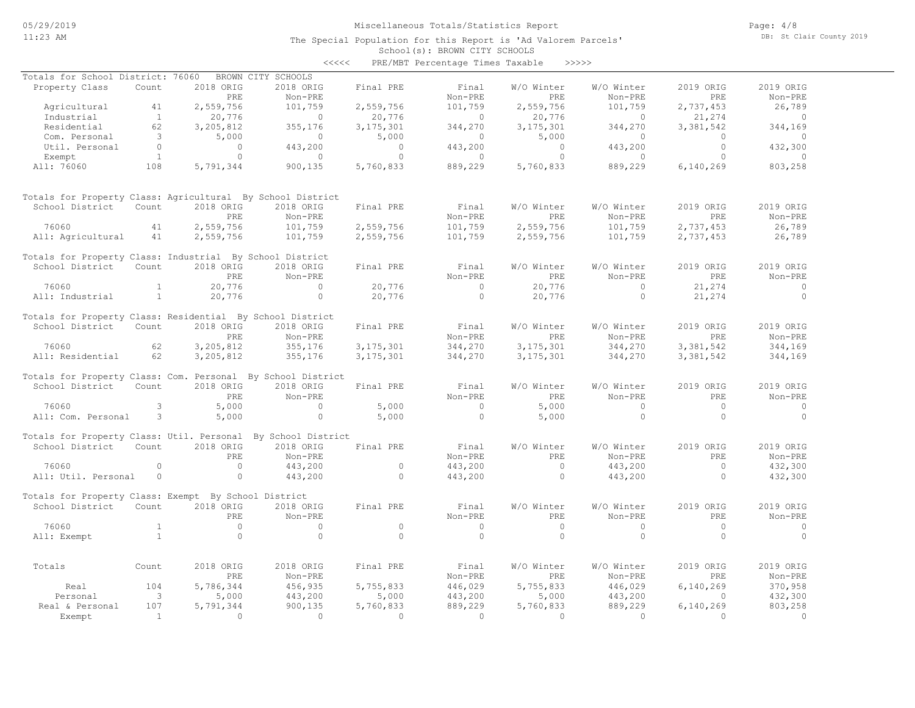Page: 4/8 DB: St Clair County 2019

School(s): BROWN CITY SCHOOLS <<<<< PRE/MBT Percentage Times Taxable >>>>>

| Totals for School District: 76060                            |                         |                | BROWN CITY SCHOOLS |                |                          |             |                |                |                |
|--------------------------------------------------------------|-------------------------|----------------|--------------------|----------------|--------------------------|-------------|----------------|----------------|----------------|
| Property Class                                               | Count                   | 2018 ORIG      | 2018 ORIG          | Final PRE      | Final                    | W/O Winter  | W/O Winter     | 2019 ORIG      | 2019 ORIG      |
|                                                              |                         | PRE            | Non-PRE            |                | Non-PRE                  | <b>PRE</b>  | Non-PRE        | <b>PRE</b>     | Non-PRE        |
| Agricultural                                                 | 41                      | 2,559,756      | 101,759            | 2,559,756      | 101,759                  | 2,559,756   | 101,759        | 2,737,453      | 26,789         |
| Industrial                                                   | $\overline{1}$          | 20,776         | $\sim$ 0           | 20,776         | $\overline{0}$           | 20,776      | $\overline{0}$ | 21,274         | $\sim$ 0       |
| Residential                                                  | 62                      | 3,205,812      | 355,176            | 3, 175, 301    | 344,270                  | 3, 175, 301 | 344,270        | 3,381,542      | 344,169        |
| Com. Personal                                                | $\overline{\mathbf{3}}$ | 5,000          | $\circ$            | 5,000          | $\overline{\phantom{0}}$ | 5,000       | $\circ$        | $\circ$        | $\overline{0}$ |
| Util. Personal                                               | $\overline{0}$          | $\overline{0}$ | 443,200            | $\overline{0}$ | 443,200                  | $\Omega$    | 443,200        | $\circ$        | 432,300        |
|                                                              |                         | $\cap$         | $\overline{a}$     | $\Omega$       | $\sim$ 0                 | $\Omega$    | $\Omega$       | $\Omega$       | $\overline{a}$ |
| Exempt                                                       | $\overline{1}$          |                |                    |                |                          |             |                |                |                |
| All: 76060                                                   | 108                     | 5,791,344      | 900,135            | 5,760,833      | 889,229                  | 5,760,833   | 889,229        | 6,140,269      | 803,258        |
| Totals for Property Class: Agricultural By School District   |                         |                |                    |                |                          |             |                |                |                |
| School District                                              | Count                   | 2018 ORIG      | 2018 ORIG          | Final PRE      | Final                    | W/O Winter  | W/O Winter     | 2019 ORIG      | 2019 ORIG      |
|                                                              |                         | PRE            | Non-PRE            |                | Non-PRE                  | PRE         | Non-PRE        | PRE            | Non-PRE        |
| 76060                                                        | 41                      | 2,559,756      | 101,759            | 2,559,756      | 101,759                  | 2,559,756   | 101,759        | 2,737,453      | 26,789         |
| All: Agricultural                                            | 41                      | 2,559,756      | 101,759            | 2,559,756      | 101,759                  | 2,559,756   | 101,759        | 2,737,453      | 26,789         |
|                                                              |                         |                |                    |                |                          |             |                |                |                |
| Totals for Property Class: Industrial By School District     |                         |                |                    |                |                          |             |                |                |                |
| School District                                              | Count                   | 2018 ORIG      | 2018 ORIG          | Final PRE      | Final                    | W/O Winter  | W/O Winter     | 2019 ORIG      | 2019 ORIG      |
|                                                              |                         | PRE            | Non-PRE            |                | Non-PRE                  | PRE         | Non-PRE        | PRE            | Non-PRE        |
| 76060                                                        | $\mathbf{1}$            | 20,776         | $\Omega$           | 20,776         | $\overline{0}$           | 20,776      | $\circ$        | 21,274         | $\overline{0}$ |
| All: Industrial                                              | $\mathbf{1}$            | 20,776         | $\Omega$           | 20,776         | $\Omega$                 | 20,776      | $\Omega$       | 21,274         | $\bigcirc$     |
|                                                              |                         |                |                    |                |                          |             |                |                |                |
| Totals for Property Class: Residential By School District    |                         |                |                    |                |                          |             |                |                |                |
| School District                                              | Count                   | 2018 ORIG      | 2018 ORIG          | Final PRE      | Final                    | W/O Winter  | W/O Winter     | 2019 ORIG      | 2019 ORIG      |
|                                                              |                         | PRE            | Non-PRE            |                | Non-PRE                  | <b>PRE</b>  | Non-PRE        | PRE            | Non-PRE        |
| 76060                                                        | 62                      | 3, 205, 812    | 355,176            | 3, 175, 301    | 344,270                  | 3, 175, 301 | 344,270        | 3,381,542      | 344,169        |
| All: Residential                                             | 62                      | 3,205,812      | 355,176            | 3, 175, 301    | 344,270                  | 3, 175, 301 | 344,270        | 3,381,542      | 344,169        |
| Totals for Property Class: Com. Personal By School District  |                         |                |                    |                |                          |             |                |                |                |
| School District                                              | Count                   | 2018 ORIG      | 2018 ORIG          | Final PRE      | Final                    | W/O Winter  | W/O Winter     | 2019 ORIG      | 2019 ORIG      |
|                                                              |                         | PRE.           | Non-PRE            |                | Non-PRE                  | PRE.        | Non-PRE        | PRE.           | Non-PRE        |
|                                                              |                         |                |                    |                |                          |             |                |                |                |
| 76060                                                        | 3                       | 5,000          | $\circ$            | 5,000          | $\overline{0}$           | 5,000       | $\circ$        | $\overline{0}$ | $\circ$        |
| All: Com. Personal                                           | 3                       | 5,000          | $\circ$            | 5,000          | $\Omega$                 | 5,000       | $\Omega$       | $\Omega$       | $\Omega$       |
| Totals for Property Class: Util. Personal By School District |                         |                |                    |                |                          |             |                |                |                |
| School District                                              | Count                   | 2018 ORIG      | 2018 ORIG          | Final PRE      | Final                    | W/O Winter  | W/O Winter     | 2019 ORIG      | 2019 ORIG      |
|                                                              |                         | PRE            | Non-PRE            |                | Non-PRE                  | PRE         | Non-PRE        | PRE            | Non-PRE        |
| 76060                                                        | $\Omega$                | $\Omega$       | 443,200            | $\Omega$       | 443,200                  | $\Omega$    | 443,200        | $\Omega$       | 432,300        |
| All: Util. Personal                                          | $\circ$                 | $\circ$        | 443,200            | $\Omega$       | 443,200                  | $\Omega$    | 443,200        | $\Omega$       | 432,300        |
|                                                              |                         |                |                    |                |                          |             |                |                |                |
| Totals for Property Class: Exempt By School District         |                         |                |                    |                |                          |             |                |                |                |
| School District                                              | Count                   | 2018 ORIG      | 2018 ORIG          | Final PRE      | Final                    | W/O Winter  | W/O Winter     | 2019 ORIG      | 2019 ORIG      |
|                                                              |                         | PRE            | Non-PRE            |                | Non-PRE                  | PRE         | Non-PRE        | PRE            | Non-PRE        |
| 76060                                                        | $\mathbf{1}$            | $\circ$        | $\cap$             | $\circ$        | $\cap$                   | $\circ$     | $\circ$        | $\circ$        | $\overline{0}$ |
| All: Exempt                                                  | $\mathbf{1}$            | $\circ$        | $\Omega$           | $\Omega$       | $\Omega$                 | $\Omega$    | $\Omega$       | $\Omega$       | $\Omega$       |
|                                                              |                         |                |                    |                |                          |             |                |                |                |
| Totals                                                       | Count                   | 2018 ORIG      | 2018 ORIG          | Final PRE      | Final                    | W/O Winter  | W/O Winter     | 2019 ORIG      | 2019 ORIG      |
|                                                              |                         | PRE            | Non-PRE            |                | Non-PRE                  | PRE         | Non-PRE        | PRE            | Non-PRE        |
|                                                              |                         |                |                    |                |                          |             |                |                |                |
| Real                                                         | 104                     | 5,786,344      | 456,935            | 5,755,833      | 446,029                  | 5,755,833   | 446,029        | 6,140,269      | 370,958        |
| Personal                                                     | $\overline{\mathbf{3}}$ | 5,000          | 443,200            | 5,000          | 443,200                  | 5,000       | 443,200        | $\Omega$       | 432,300        |
| Real & Personal                                              | 107                     | 5,791,344      | 900,135            | 5,760,833      | 889,229                  | 5,760,833   | 889,229        | 6,140,269      | 803,258        |
| Exempt                                                       | $\overline{1}$          | $\Omega$       | $\Omega$           | $\Omega$       | $\Omega$                 | $\Omega$    | $\cap$         | $\Omega$       | $\Omega$       |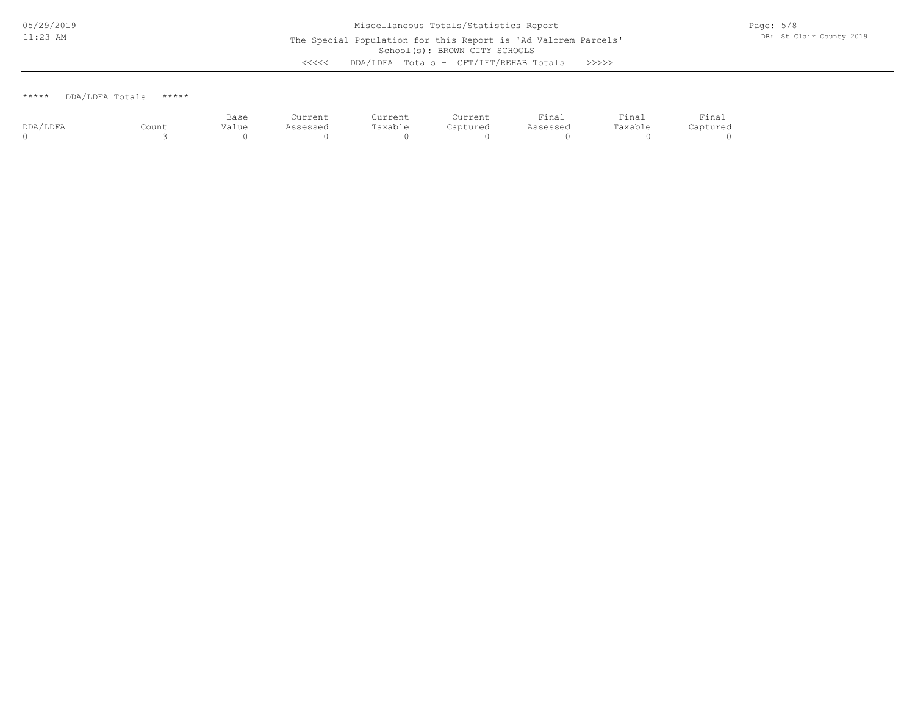\*\*\*\*\* DDA/LDFA Totals \*\*\*\*\*

|          |       | Base  | Current  | Current             | Current  | Final           | $ -$<br>Final | Final    |
|----------|-------|-------|----------|---------------------|----------|-----------------|---------------|----------|
| DDA/LDFA | Count | Value | ∖ssessea | <sup>m</sup> axable | Captured | <b>\ssessed</b> | Taxable       | Captured |
|          |       |       |          |                     |          |                 |               |          |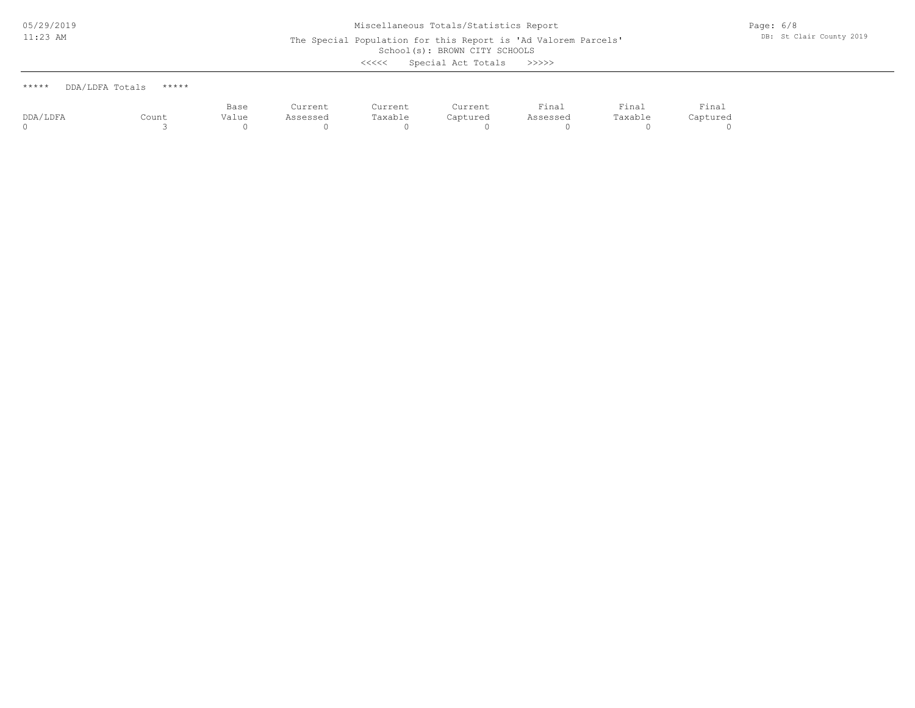The Special Population for this Report is 'Ad Valorem Parcels'

School(s): BROWN CITY SCHOOLS

<<<<< Special Act Totals >>>>>

| ***** | DDA/LDFA Totals | ***** |
|-------|-----------------|-------|
|       |                 |       |

|          |       | Base       | Current  | Current | Current  | Final    | Final   | Final    |
|----------|-------|------------|----------|---------|----------|----------|---------|----------|
| DDA/LDFA | Count | .<br>Value | Assessed | Taxable | Captured | Assessed | Taxable | Captured |
|          |       |            |          |         |          |          |         |          |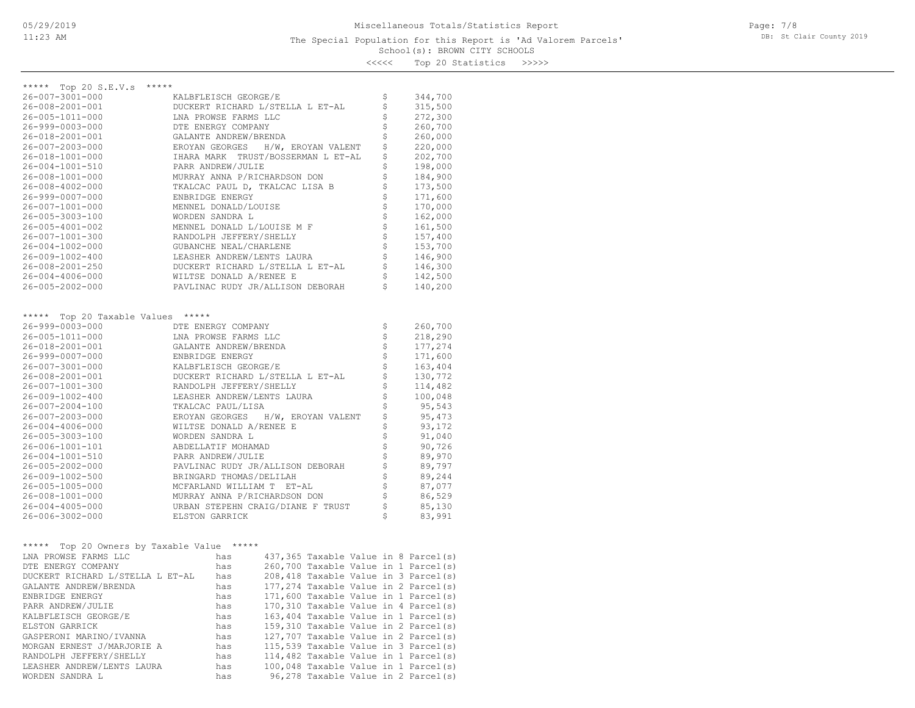### School(s): BROWN CITY SCHOOLS The Special Population for this Report is 'Ad Valorem Parcels'

Page: 7/8 DB: St Clair County 2019

<<<<< Top 20 Statistics >>>>>

| *****                                      |                                                     |                                                         |                    |
|--------------------------------------------|-----------------------------------------------------|---------------------------------------------------------|--------------------|
| ***** Top 20 S.E.V.s                       | KALBFLEISCH GEORGE/E                                |                                                         |                    |
| 26-007-3001-000                            |                                                     | \$<br>$\boldsymbol{\xi}$                                | 344,700            |
| 26-008-2001-001                            | DUCKERT RICHARD L/STELLA L ET-AL                    |                                                         | 315,500<br>272,300 |
| 26-005-1011-000<br>26-999-0003-000         | LNA PROWSE FARMS LLC<br>DTE ENERGY COMPANY          | \$<br>$\ddot{\mathsf{s}}$                               |                    |
|                                            |                                                     | \$                                                      | 260,700            |
| 26-018-2001-001                            | GALANTE ANDREW/BRENDA                               | \$                                                      | 260,000            |
| 26-007-2003-000                            | EROYAN GEORGES H/W, EROYAN VALENT                   |                                                         | 220,000            |
| 26-018-1001-000                            | IHARA MARK TRUST/BOSSERMAN L ET-AL                  | \$                                                      | 202,700            |
| 26-004-1001-510                            | PARR ANDREW/JULIE                                   | \$                                                      | 198,000            |
| 26-008-1001-000                            | MURRAY ANNA P/RICHARDSON DON                        | \$                                                      | 184,900            |
| 26-008-4002-000                            | TKALCAC PAUL D, TKALCAC LISA B                      | \$                                                      | 173,500            |
| 26-999-0007-000                            | ENBRIDGE ENERGY                                     | \$                                                      | 171,600            |
| 26-007-1001-000                            | MENNEL DONALD/LOUISE                                | \$                                                      | 170,000            |
| 26-005-3003-100                            | WORDEN SANDRA L                                     | \$                                                      | 162,000            |
| 26-005-4001-002                            | MENNEL DONALD L/LOUISE M F                          | $\frac{1}{5}$                                           | 161,500            |
| 26-007-1001-300                            | RANDOLPH JEFFERY/SHELLY                             |                                                         | 157,400            |
| 26-004-1002-000                            | GUBANCHE NEAL/CHARLENE                              | $\begin{array}{c} \mathsf{S} \\ \mathsf{S} \end{array}$ | 153,700            |
| 26-009-1002-400                            | LEASHER ANDREW/LENTS LAURA                          |                                                         | 146,900            |
| 26-008-2001-250                            | DUCKERT RICHARD L/STELLA L ET-AL                    | $\ddot{\mathsf{S}}$                                     | 146,300            |
| 26-004-4006-000                            | WILTSE DONALD A/RENEE E                             | $\mathsf{S}$                                            | 142,500            |
| 26-005-2002-000                            | PAVLINAC RUDY JR/ALLISON DEBORAH                    | $\mathsf{S}$                                            | 140,200            |
|                                            |                                                     |                                                         |                    |
| ***** Top 20 Taxable Values *****          |                                                     |                                                         |                    |
| 26-999-0003-000                            | DTE ENERGY COMPANY                                  | \$                                                      | 260,700            |
| 26-005-1011-000                            | LNA PROWSE FARMS LLC                                | $\boldsymbol{\xi}$                                      | 218,290            |
| 26-018-2001-001                            | GALANTE ANDREW/BRENDA                               | $\boldsymbol{\dot{\varsigma}}$                          | 177,274            |
| 26-999-0007-000                            | ENBRIDGE ENERGY                                     | $\boldsymbol{\dot{\varsigma}}$                          | 171,600            |
| 26-007-3001-000                            | KALBFLEISCH GEORGE/E                                | $\boldsymbol{\dot{\varsigma}}$                          | 163,404            |
| 26-008-2001-001                            | DUCKERT RICHARD L/STELLA L ET-AL                    | \$                                                      | 130,772            |
| 26-007-1001-300                            | RANDOLPH JEFFERY/SHELLY                             | \$                                                      | 114,482            |
| 26-009-1002-400                            | LEASHER ANDREW/LENTS LAURA                          | \$                                                      | 100,048            |
| 26-007-2004-100                            | TKALCAC PAUL/LISA                                   | \$                                                      | 95,543             |
| 26-007-2003-000                            | EROYAN GEORGES<br>H/W, EROYAN VALENT                | \$                                                      | 95,473             |
| 26-004-4006-000                            | WILTSE DONALD A/RENEE E                             | \$                                                      | 93,172             |
| 26-005-3003-100                            | WORDEN SANDRA L                                     | \$                                                      | 91,040             |
| 26-006-1001-101                            | ABDELLATIF MOHAMAD                                  | $\boldsymbol{\mathsf{S}}$                               | 90,726             |
| 26-004-1001-510                            | PARR ANDREW/JULIE                                   |                                                         | 89,970             |
| 26-005-2002-000                            | PAVLINAC RUDY JR/ALLISON DEBORAH                    | $\begin{array}{c} \mathsf{S} \\ \mathsf{S} \end{array}$ | 89,797             |
|                                            | BRINGARD THOMAS/DELILAH                             | $\dot{\tilde{\mathbf{S}}}$                              |                    |
| 26-009-1002-500                            |                                                     | $\dot{\tilde{\mathbf{s}}}$                              | 89,244             |
| 26-005-1005-000                            | MCFARLAND WILLIAM T ET-AL                           | $\dot{\tilde{\varsigma}}$                               | 87,077             |
| 26-008-1001-000                            | MURRAY ANNA P/RICHARDSON DON                        | \$                                                      | 86,529             |
| 26-004-4005-000<br>26-006-3002-000         | URBAN STEPEHN CRAIG/DIANE F TRUST<br>ELSTON GARRICK | \$                                                      | 85,130             |
|                                            |                                                     |                                                         | 83,991             |
|                                            |                                                     |                                                         |                    |
| ***** Top 20 Owners by Taxable Value ***** |                                                     |                                                         |                    |
| LNA PROWSE FARMS LLC                       | 437,365 Taxable Value in 8 Parcel(s)<br>has         |                                                         |                    |
| DTE ENERGY COMPANY                         | 260,700 Taxable Value in 1 Parcel(s)<br>has         |                                                         |                    |
| DUCKERT RICHARD L/STELLA L ET-AL           | 208,418 Taxable Value in 3 Parcel(s)<br>has         |                                                         |                    |
| GALANTE ANDREW/BRENDA                      | 177,274 Taxable Value in 2 Parcel(s)<br>has         |                                                         |                    |
| ENBRIDGE ENERGY                            | 171,600 Taxable Value in 1 Parcel(s)<br>has         |                                                         |                    |
| PARR ANDREW/JULIE                          | 170,310 Taxable Value in 4 Parcel(s)<br>has         |                                                         |                    |
| KALBFLEISCH GEORGE/E                       | 163,404 Taxable Value in 1 Parcel(s)<br>has         |                                                         |                    |
| ELSTON GARRICK                             | 159,310 Taxable Value in 2 Parcel(s)<br>has         |                                                         |                    |
| GASPERONI MARINO/IVANNA                    | 127,707 Taxable Value in 2 Parcel(s)<br>has         |                                                         |                    |
| MORGAN ERNEST J/MARJORIE A                 | 115,539 Taxable Value in 3 Parcel(s)<br>has         |                                                         |                    |
| RANDOLPH JEFFERY/SHELLY                    | 114,482 Taxable Value in 1 Parcel(s)<br>has         |                                                         |                    |
| LEASHER ANDREW/LENTS LAURA                 | 100,048 Taxable Value in 1 Parcel(s)<br>has         |                                                         |                    |
| WORDEN SANDRA L                            | 96,278 Taxable Value in 2 Parcel(s)<br>has          |                                                         |                    |